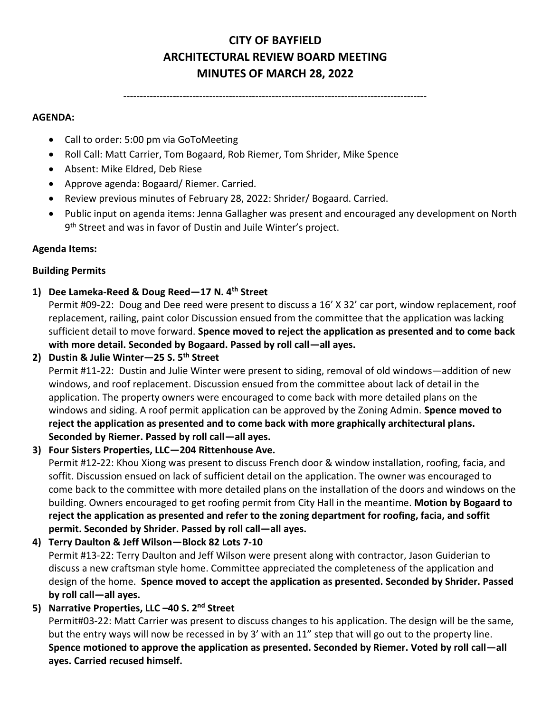# **CITY OF BAYFIELD ARCHITECTURAL REVIEW BOARD MEETING MINUTES OF MARCH 28, 2022**

--------------------------------------------------------------------------------------------

#### **AGENDA:**

- Call to order: 5:00 pm via GoToMeeting
- Roll Call: Matt Carrier, Tom Bogaard, Rob Riemer, Tom Shrider, Mike Spence
- Absent: Mike Eldred, Deb Riese
- Approve agenda: Bogaard/ Riemer. Carried.
- Review previous minutes of February 28, 2022: Shrider/ Bogaard. Carried.
- Public input on agenda items: Jenna Gallagher was present and encouraged any development on North 9 th Street and was in favor of Dustin and Juile Winter's project.

#### **Agenda Items:**

#### **Building Permits**

**1) Dee Lameka-Reed & Doug Reed—17 N. 4th Street** 

Permit #09-22: Doug and Dee reed were present to discuss a 16' X 32' car port, window replacement, roof replacement, railing, paint color Discussion ensued from the committee that the application was lacking sufficient detail to move forward. **Spence moved to reject the application as presented and to come back with more detail. Seconded by Bogaard. Passed by roll call—all ayes.** 

**2) Dustin & Julie Winter—25 S. 5th Street** 

Permit #11-22: Dustin and Julie Winter were present to siding, removal of old windows—addition of new windows, and roof replacement. Discussion ensued from the committee about lack of detail in the application. The property owners were encouraged to come back with more detailed plans on the windows and siding. A roof permit application can be approved by the Zoning Admin. **Spence moved to reject the application as presented and to come back with more graphically architectural plans. Seconded by Riemer. Passed by roll call—all ayes.**

**3) Four Sisters Properties, LLC—204 Rittenhouse Ave.**

Permit #12-22: Khou Xiong was present to discuss French door & window installation, roofing, facia, and soffit. Discussion ensued on lack of sufficient detail on the application. The owner was encouraged to come back to the committee with more detailed plans on the installation of the doors and windows on the building. Owners encouraged to get roofing permit from City Hall in the meantime. **Motion by Bogaard to reject the application as presented and refer to the zoning department for roofing, facia, and soffit permit. Seconded by Shrider. Passed by roll call—all ayes.** 

- **4) Terry Daulton & Jeff Wilson—Block 82 Lots 7-10** Permit #13-22: Terry Daulton and Jeff Wilson were present along with contractor, Jason Guiderian to discuss a new craftsman style home. Committee appreciated the completeness of the application and design of the home. **Spence moved to accept the application as presented. Seconded by Shrider. Passed by roll call—all ayes.**
- **5) Narrative Properties, LLC –40 S. 2nd Street**

Permit#03-22: Matt Carrier was present to discuss changes to his application. The design will be the same, but the entry ways will now be recessed in by 3' with an 11" step that will go out to the property line. **Spence motioned to approve the application as presented. Seconded by Riemer. Voted by roll call—all ayes. Carried recused himself.**